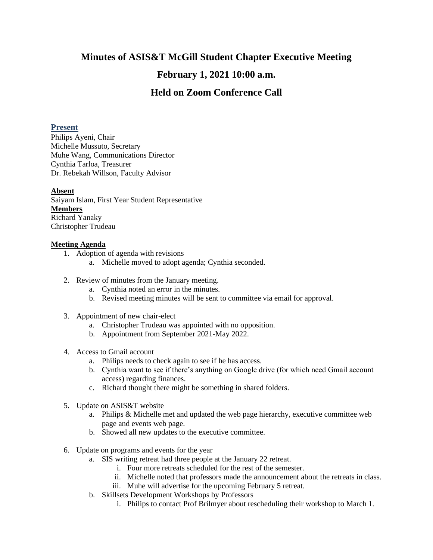# **Minutes of ASIS&T McGill Student Chapter Executive Meeting**

# **February 1, 2021 10:00 a.m.**

# **Held on Zoom Conference Call**

### **Present**

Philips Ayeni, Chair Michelle Mussuto, Secretary Muhe Wang, Communications Director Cynthia Tarloa, Treasurer Dr. Rebekah Willson, Faculty Advisor

### **Absent**

Saiyam Islam, First Year Student Representative **Members** Richard Yanaky Christopher Trudeau

### **Meeting Agenda**

- 1. Adoption of agenda with revisions
	- a. Michelle moved to adopt agenda; Cynthia seconded.
- 2. Review of minutes from the January meeting.
	- a. Cynthia noted an error in the minutes.
	- b. Revised meeting minutes will be sent to committee via email for approval.
- 3. Appointment of new chair-elect
	- a. Christopher Trudeau was appointed with no opposition.
	- b. Appointment from September 2021-May 2022.
- 4. Access to Gmail account
	- a. Philips needs to check again to see if he has access.
	- b. Cynthia want to see if there's anything on Google drive (for which need Gmail account access) regarding finances.
	- c. Richard thought there might be something in shared folders.
- 5. Update on ASIS&T website
	- a. Philips & Michelle met and updated the web page hierarchy, executive committee web page and events web page.
	- b. Showed all new updates to the executive committee.
- 6. Update on programs and events for the year
	- a. SIS writing retreat had three people at the January 22 retreat.
		- i. Four more retreats scheduled for the rest of the semester.
		- ii. Michelle noted that professors made the announcement about the retreats in class.
		- iii. Muhe will advertise for the upcoming February 5 retreat.
	- b. Skillsets Development Workshops by Professors
		- i. Philips to contact Prof Brilmyer about rescheduling their workshop to March 1.